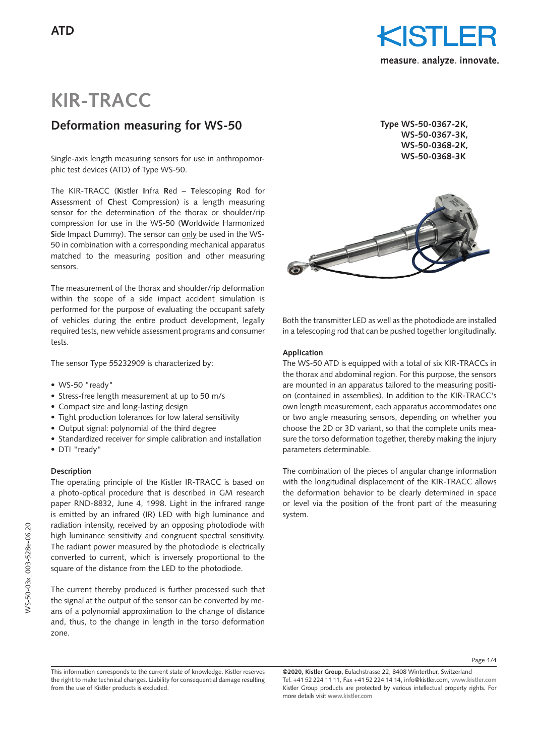

# **KIR-TRACC**

# **Deformation measuring for WS-50**

Single-axis length measuring sensors for use in anthropomor- **WS-50-0368-3K** phic test devices (ATD) of Type WS-50.

The KIR-TRACC (**K**istler **I**nfra **R**ed – **T**elescoping **R**od for **A**ssessment of **C**hest **C**ompression) is a length measuring sensor for the determination of the thorax or shoulder/rip compression for use in the WS-50 (**W**orldwide Harmonized **S**ide Impact Dummy). The sensor can only be used in the WS-50 in combination with a corresponding mechanical apparatus matched to the measuring position and other measuring sensors.

The measurement of the thorax and shoulder/rip deformation within the scope of a side impact accident simulation is performed for the purpose of evaluating the occupant safety of vehicles during the entire product development, legally required tests, new vehicle assessment programs and consumer tests.

The sensor Type 55232909 is characterized by:

- WS-50 "ready"
- Stress-free length measurement at up to 50 m/s
- Compact size and long-lasting design
- Tight production tolerances for low lateral sensitivity
- Output signal: polynomial of the third degree
- Standardized receiver for simple calibration and installation
- DTI "ready"

### **Description**

The operating principle of the Kistler IR-TRACC is based on a photo-optical procedure that is described in GM research paper RND-8832, June 4, 1998. Light in the infrared range is emitted by an infrared (IR) LED with high luminance and radiation intensity, received by an opposing photodiode with high luminance sensitivity and congruent spectral sensitivity. The radiant power measured by the photodiode is electrically converted to current, which is inversely proportional to the square of the distance from the LED to the photodiode.

The current thereby produced is further processed such that the signal at the output of the sensor can be converted by means of a polynomial approximation to the change of distance and, thus, to the change in length in the torso deformation zone.

**Type WS-50-0367-2K, WS-50-0367-3K, WS-50-0368-2K,**



Both the transmitter LED as well as the photodiode are installed in a telescoping rod that can be pushed together longitudinally.

#### **Application**

The WS-50 ATD is equipped with a total of six KIR-TRACCs in the thorax and abdominal region. For this purpose, the sensors are mounted in an apparatus tailored to the measuring position (contained in assemblies). In addition to the KIR-TRACC's own length measurement, each apparatus accommodates one or two angle measuring sensors, depending on whether you choose the 2D or 3D variant, so that the complete units measure the torso deformation together, thereby making the injury parameters determinable.

The combination of the pieces of angular change information with the longitudinal displacement of the KIR-TRACC allows the deformation behavior to be clearly determined in space or level via the position of the front part of the measuring system.

This information corresponds to the current state of knowledge. Kistler reserves the right to make technical changes. Liability for consequential damage resulting from the use of Kistler products is excluded.

**<sup>©2020,</sup> Kistler Group,** Eulachstrasse 22, 8408 Winterthur, Switzerland Tel. +41 52 224 11 11, Fax +41 52 224 14 14, info@kistler.com, **www.kistler.com** Kistler Group products are protected by various intellectual property rights. For more details visit **www.kistler.com**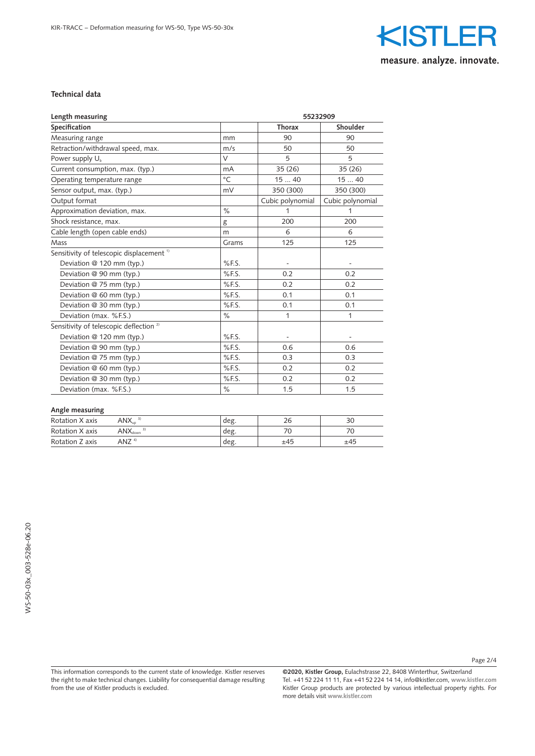

### **Technical data**

| Length measuring                                     | 55232909      |                          |                          |
|------------------------------------------------------|---------------|--------------------------|--------------------------|
| Specification                                        |               | <b>Thorax</b>            | <b>Shoulder</b>          |
| Measuring range                                      | mm            | 90                       | 90                       |
| Retraction/withdrawal speed, max.                    | m/s           | 50                       | 50                       |
| Power supply U <sub>b</sub>                          | $\vee$        | 5                        | 5                        |
| Current consumption, max. (typ.)                     | mA            | 35(26)                   | 35(26)                   |
| Operating temperature range                          | $^{\circ}$ C  | 1540                     | 1540                     |
| Sensor output, max. (typ.)                           | mV            | 350 (300)                | 350 (300)                |
| Output format                                        |               | Cubic polynomial         | Cubic polynomial         |
| Approximation deviation, max.                        | $\frac{1}{2}$ | 1                        | 1                        |
| Shock resistance, max.                               | g             | 200                      | 200                      |
| Cable length (open cable ends)                       | m             | 6                        | 6                        |
| Mass                                                 | Grams         | 125                      | 125                      |
| Sensitivity of telescopic displacement <sup>1)</sup> |               |                          |                          |
| Deviation @ 120 mm (typ.)                            | $%$ F.S.      | $\overline{\phantom{a}}$ | $\overline{\phantom{a}}$ |
| Deviation @ 90 mm (typ.)                             | $%$ F.S.      | 0.2                      | 0.2                      |
| Deviation @ 75 mm (typ.)                             | %F.S.         | 0.2                      | 0.2                      |
| Deviation @ 60 mm (typ.)                             | %FS.          | 0.1                      | 0.1                      |
| Deviation @ 30 mm (typ.)                             | $%$ F.S.      | 0.1                      | 0.1                      |
| Deviation (max. %F.S.)                               | $\%$          | $\mathbf{1}$             | $\mathbf{1}$             |
| Sensitivity of telescopic deflection <sup>2)</sup>   |               |                          |                          |
| Deviation @ 120 mm (typ.)                            | $%$ F.S.      | $\overline{\phantom{a}}$ | ٠                        |
| Deviation @ 90 mm (typ.)                             | $%$ F.S.      | 0.6                      | 0.6                      |
| Deviation @ 75 mm (typ.)                             | %F.S.         | 0.3                      | 0.3                      |
| Deviation @ 60 mm (typ.)                             | $%$ F.S.      | 0.2                      | 0.2                      |
| Deviation @ 30 mm (typ.)                             | $%$ F.S.      | 0.2                      | 0.2                      |
| Deviation (max. %F.S.)                               | $\%$          | 1.5                      | 1.5                      |
| Angle measuring                                      |               |                          |                          |

| Rotation X axis | $\mathsf{ANX}_\mathsf{up}$   | deg. |     |     |
|-----------------|------------------------------|------|-----|-----|
| Rotation X axis | $\mathsf{ANX}_\mathsf{down}$ | deg. |     |     |
| Rotation Z axis | $ANZ$ <sup>4)</sup>          | deg. | ±45 | ±45 |

WS-50-03x\_003-528e-06.20 WS-50-03x\_003-528e-06.20

> This information corresponds to the current state of knowledge. Kistler reserves the right to make technical changes. Liability for consequential damage resulting from the use of Kistler products is excluded.

**©2020, Kistler Group,** Eulachstrasse 22, 8408 Winterthur, Switzerland Tel. +41 52 224 11 11, Fax +41 52 224 14 14, info@kistler.com, **www.kistler.com** Kistler Group products are protected by various intellectual property rights. For more details visit **www.kistler.com**

Page 2/4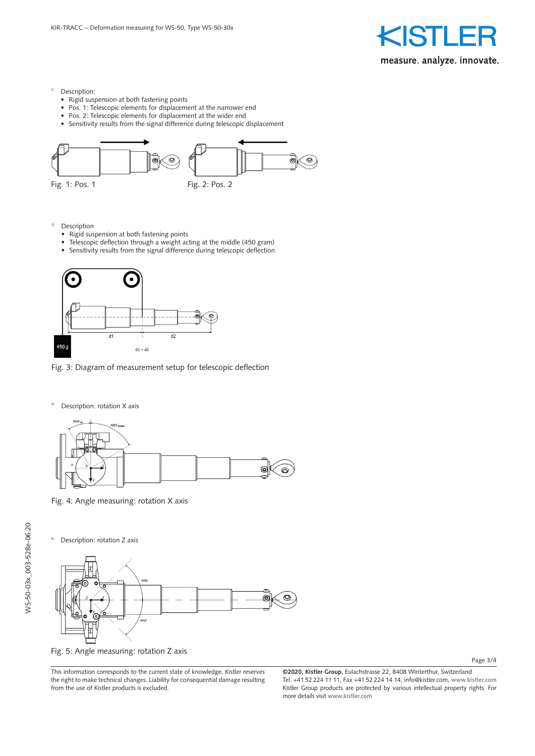

- <sup>1)</sup> Description:
	- Rigid suspension at both fastening points
	- Pos. 1: Telescopic elements for displacement at the narrower end
	- Pos. 2: Telescopic elements for displacement at the wider end
	- Sensitivity results from the signal difference during telescopic displacement



- 2) Description
	- Rigid suspension at both fastening points
	- Telescopic deflection through a weight acting at the middle (450 gram)
	- Sensitivity results from the signal difference during telescopic deflection



Fig. 3: Diagram of measurement setup for telescopic deflection

<sup>3)</sup> Description: rotation X axis



Fig. 4: Angle measuring: rotation X axis

Description: rotation Z axis



Fig. 5: Angle measuring: rotation Z axis

This information corresponds to the current state of knowledge. Kistler reserves the right to make technical changes. Liability for consequential damage resulting from the use of Kistler products is excluded.

Page 3/4

**<sup>©2020,</sup> Kistler Group,** Eulachstrasse 22, 8408 Winterthur, Switzerland Tel. +41 52 224 11 11, Fax +41 52 224 14 14, info@kistler.com, **www.kistler.com** Kistler Group products are protected by various intellectual property rights. For more details visit **www.kistler.com**